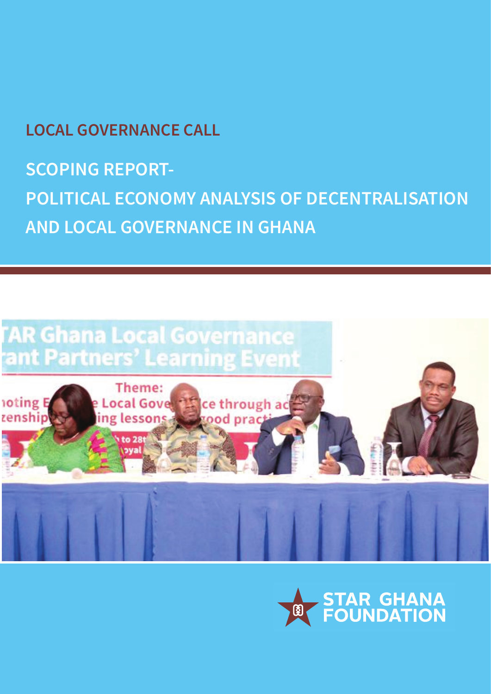**LOCAL GOVERNANCE CALL**

**SCOPING REPORT-POLITICAL ECONOMY ANALYSIS OF DECENTRALISATION AND LOCAL GOVERNANCE IN GHANA** 



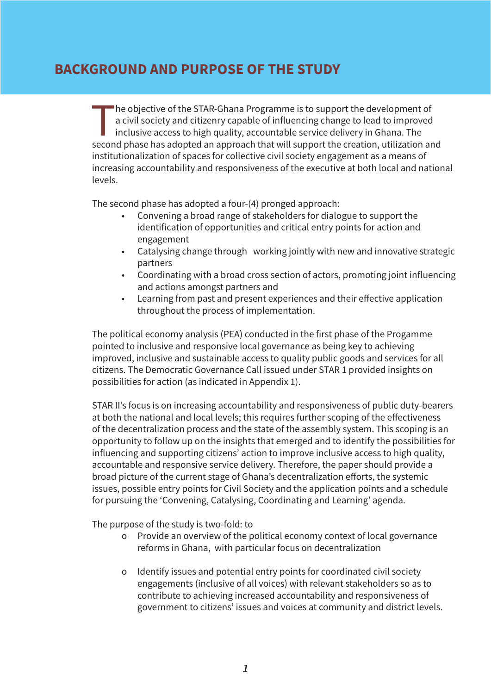## **BACKGROUND AND PURPOSE OF THE STUDY**

The objective of the STAR-Ghana Programme is to support the development of<br>a civil society and citizenry capable of influencing change to lead to improved<br>inclusive access to high quality, accountable service delivery in G a civil society and citizenry capable of influencing change to lead to improved inclusive access to high quality, accountable service delivery in Ghana. The second phase has adopted an approach that will support the creation, utilization and institutionalization of spaces for collective civil society engagement as a means of increasing accountability and responsiveness of the executive at both local and national levels.

The second phase has adopted a four-(4) pronged approach:

- Convening a broad range of stakeholders for dialogue to support the identification of opportunities and critical entry points for action and engagement
- Catalysing change through working jointly with new and innovative strategic partners
- Coordinating with a broad cross section of actors, promoting joint influencing and actions amongst partners and
- Learning from past and present experiences and their effective application throughout the process of implementation.

The political economy analysis (PEA) conducted in the first phase of the Progamme pointed to inclusive and responsive local governance as being key to achieving improved, inclusive and sustainable access to quality public goods and services for all citizens. The Democratic Governance Call issued under STAR 1 provided insights on possibilities for action (as indicated in Appendix 1).

STAR II's focus is on increasing accountability and responsiveness of public duty-bearers at both the national and local levels; this requires further scoping of the efectiveness of the decentralization process and the state of the assembly system. This scoping is an opportunity to follow up on the insights that emerged and to identify the possibilities for influencing and supporting citizens' action to improve inclusive access to high quality, accountable and responsive service delivery. Therefore, the paper should provide a broad picture of the current stage of Ghana's decentralization eforts, the systemic issues, possible entry points for Civil Society and the application points and a schedule for pursuing the 'Convening, Catalysing, Coordinating and Learning' agenda.

The purpose of the study is two-fold: to

- o Provide an overview of the political economy context of local governance reforms in Ghana, with particular focus on decentralization
- o Identify issues and potential entry points for coordinated civil society engagements (inclusive of all voices) with relevant stakeholders so as to contribute to achieving increased accountability and responsiveness of government to citizens' issues and voices at community and district levels.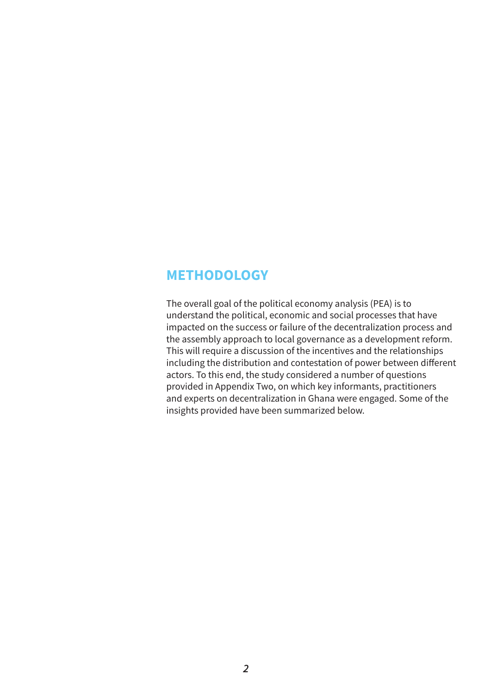#### **METHODOLOGY**

The overall goal of the political economy analysis (PEA) is to understand the political, economic and social processes that have impacted on the success or failure of the decentralization process and the assembly approach to local governance as a development reform. This will require a discussion of the incentives and the relationships including the distribution and contestation of power between diferent actors. To this end, the study considered a number of questions provided in Appendix Two, on which key informants, practitioners and experts on decentralization in Ghana were engaged. Some of the insights provided have been summarized below.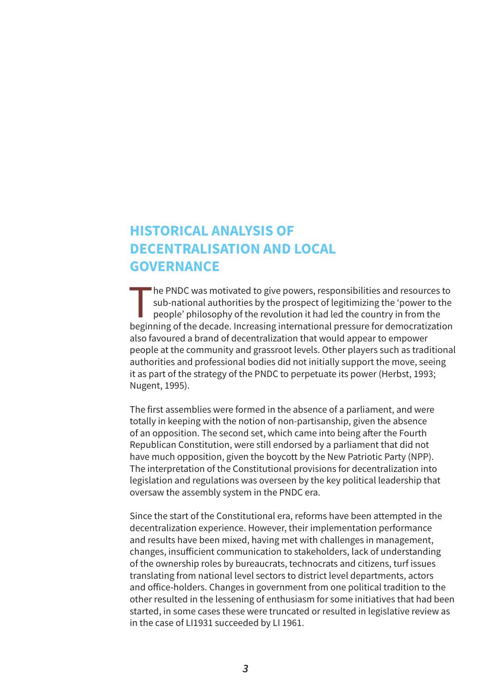## **HISTORICAL ANALYSIS OF DECENTRALISATION AND LOCAL GOVERNANCE**

The PNDC was motivated to give powers, responsibilities and resources to<br>sub-national authorities by the prospect of legitimizing the 'power to the<br>people' philosophy of the revolution it had led the country in from the<br>he sub-national authorities by the prospect of legitimizing the 'power to the people' philosophy of the revolution it had led the country in from the beginning of the decade. Increasing international pressure for democratization also favoured a brand of decentralization that would appear to empower people at the community and grassroot levels. Other players such as traditional authorities and professional bodies did not initially support the move, seeing it as part of the strategy of the PNDC to perpetuate its power (Herbst, 1993; Nugent, 1995).

The first assemblies were formed in the absence of a parliament, and were totally in keeping with the notion of non-partisanship, given the absence of an opposition. The second set, which came into being after the Fourth Republican Constitution, were still endorsed by a parliament that did not have much opposition, given the boycott by the New Patriotic Party (NPP). The interpretation of the Constitutional provisions for decentralization into legislation and regulations was overseen by the key political leadership that oversaw the assembly system in the PNDC era.

Since the start of the Constitutional era, reforms have been attempted in the decentralization experience. However, their implementation performance and results have been mixed, having met with challenges in management, changes, insuficient communication to stakeholders, lack of understanding of the ownership roles by bureaucrats, technocrats and citizens, turf issues translating from national level sectors to district level departments, actors and ofice-holders. Changes in government from one political tradition to the other resulted in the lessening of enthusiasm for some initiatives that had been started, in some cases these were truncated or resulted in legislative review as in the case of LI1931 succeeded by LI 1961.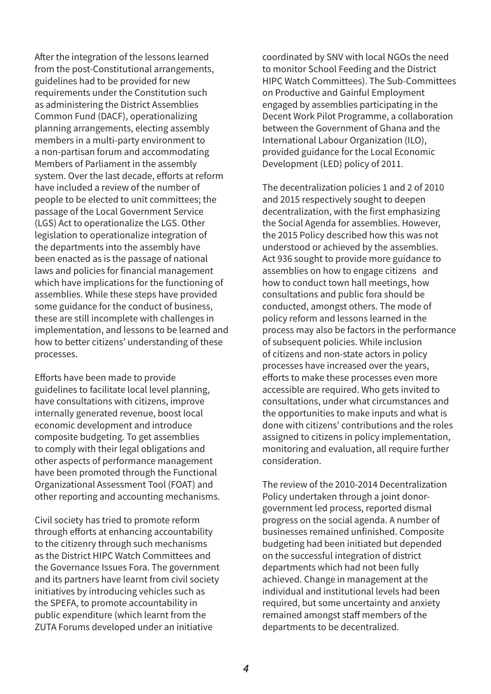Afer the integration of the lessons learned from the post-Constitutional arrangements, guidelines had to be provided for new requirements under the Constitution such as administering the District Assemblies Common Fund (DACF), operationalizing planning arrangements, electing assembly members in a multi-party environment to a non-partisan forum and accommodating Members of Parliament in the assembly system. Over the last decade, efforts at reform have included a review of the number of people to be elected to unit committees; the passage of the Local Government Service (LGS) Act to operationalize the LGS. Other legislation to operationalize integration of the departments into the assembly have been enacted as is the passage of national laws and policies for financial management which have implications for the functioning of assemblies. While these steps have provided some guidance for the conduct of business, these are still incomplete with challenges in implementation, and lessons to be learned and how to better citizens' understanding of these processes.

Eforts have been made to provide guidelines to facilitate local level planning, have consultations with citizens, improve internally generated revenue, boost local economic development and introduce composite budgeting. To get assemblies to comply with their legal obligations and other aspects of performance management have been promoted through the Functional Organizational Assessment Tool (FOAT) and other reporting and accounting mechanisms.

Civil society has tried to promote reform through efforts at enhancing accountability to the citizenry through such mechanisms as the District HIPC Watch Committees and the Governance Issues Fora. The government and its partners have learnt from civil society initiatives by introducing vehicles such as the SPEFA, to promote accountability in public expenditure (which learnt from the ZUTA Forums developed under an initiative

coordinated by SNV with local NGOs the need to monitor School Feeding and the District HIPC Watch Committees). The Sub-Committees on Productive and Gainful Employment engaged by assemblies participating in the Decent Work Pilot Programme, a collaboration between the Government of Ghana and the International Labour Organization (ILO), provided guidance for the Local Economic Development (LED) policy of 2011.

The decentralization policies 1 and 2 of 2010 and 2015 respectively sought to deepen decentralization, with the first emphasizing the Social Agenda for assemblies. However, the 2015 Policy described how this was not understood or achieved by the assemblies. Act 936 sought to provide more guidance to assemblies on how to engage citizens and how to conduct town hall meetings, how consultations and public fora should be conducted, amongst others. The mode of policy reform and lessons learned in the process may also be factors in the performance of subsequent policies. While inclusion of citizens and non-state actors in policy processes have increased over the years, efforts to make these processes even more accessible are required. Who gets invited to consultations, under what circumstances and the opportunities to make inputs and what is done with citizens' contributions and the roles assigned to citizens in policy implementation, monitoring and evaluation, all require further consideration.

The review of the 2010-2014 Decentralization Policy undertaken through a joint donorgovernment led process, reported dismal progress on the social agenda. A number of businesses remained unfinished. Composite budgeting had been initiated but depended on the successful integration of district departments which had not been fully achieved. Change in management at the individual and institutional levels had been required, but some uncertainty and anxiety remained amongst staff members of the departments to be decentralized.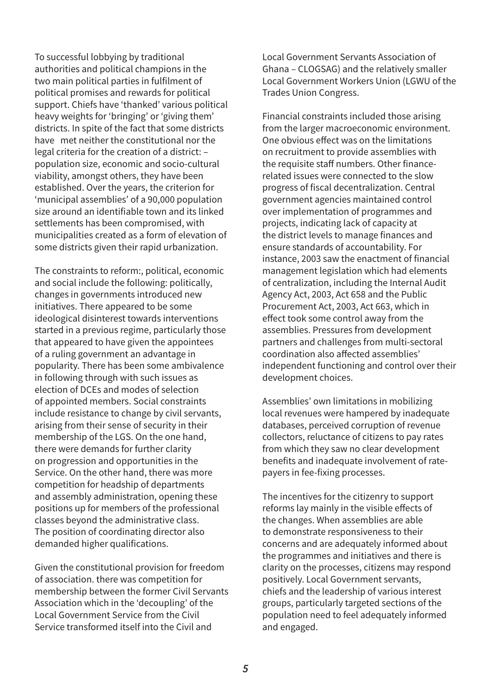To successful lobbying by traditional authorities and political champions in the two main political parties in fulfilment of political promises and rewards for political support. Chiefs have 'thanked' various political heavy weights for 'bringing' or 'giving them' districts. In spite of the fact that some districts have met neither the constitutional nor the legal criteria for the creation of a district: – population size, economic and socio-cultural viability, amongst others, they have been established. Over the years, the criterion for 'municipal assemblies' of a 90,000 population size around an identifiable town and its linked settlements has been compromised, with municipalities created as a form of elevation of some districts given their rapid urbanization.

The constraints to reform:, political, economic and social include the following: politically, changes in governments introduced new initiatives. There appeared to be some ideological disinterest towards interventions started in a previous regime, particularly those that appeared to have given the appointees of a ruling government an advantage in popularity. There has been some ambivalence in following through with such issues as election of DCEs and modes of selection of appointed members. Social constraints include resistance to change by civil servants, arising from their sense of security in their membership of the LGS. On the one hand, there were demands for further clarity on progression and opportunities in the Service. On the other hand, there was more competition for headship of departments and assembly administration, opening these positions up for members of the professional classes beyond the administrative class. The position of coordinating director also demanded higher qualifications.

Given the constitutional provision for freedom of association. there was competition for membership between the former Civil Servants Association which in the 'decoupling' of the Local Government Service from the Civil Service transformed itself into the Civil and

Local Government Servants Association of Ghana – CLOGSAG) and the relatively smaller Local Government Workers Union (LGWU of the Trades Union Congress.

Financial constraints included those arising from the larger macroeconomic environment. One obvious efect was on the limitations on recruitment to provide assemblies with the requisite staff numbers. Other financerelated issues were connected to the slow progress of fiscal decentralization. Central government agencies maintained control over implementation of programmes and projects, indicating lack of capacity at the district levels to manage finances and ensure standards of accountability. For instance, 2003 saw the enactment of financial management legislation which had elements of centralization, including the Internal Audit Agency Act, 2003, Act 658 and the Public Procurement Act, 2003, Act 663, which in efect took some control away from the assemblies. Pressures from development partners and challenges from multi-sectoral coordination also afected assemblies' independent functioning and control over their development choices.

Assemblies' own limitations in mobilizing local revenues were hampered by inadequate databases, perceived corruption of revenue collectors, reluctance of citizens to pay rates from which they saw no clear development benefits and inadequate involvement of ratepayers in fee-fixing processes.

The incentives for the citizenry to support reforms lay mainly in the visible efects of the changes. When assemblies are able to demonstrate responsiveness to their concerns and are adequately informed about the programmes and initiatives and there is clarity on the processes, citizens may respond positively. Local Government servants, chiefs and the leadership of various interest groups, particularly targeted sections of the population need to feel adequately informed and engaged.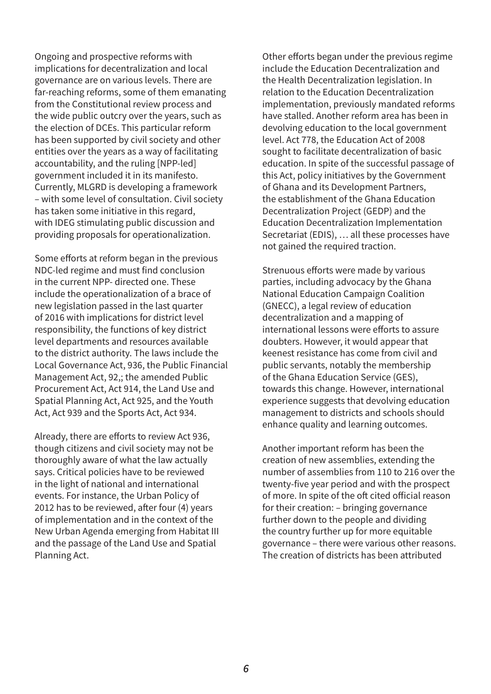Ongoing and prospective reforms with implications for decentralization and local governance are on various levels. There are far-reaching reforms, some of them emanating from the Constitutional review process and the wide public outcry over the years, such as the election of DCEs. This particular reform has been supported by civil society and other entities over the years as a way of facilitating accountability, and the ruling [NPP-led] government included it in its manifesto. Currently, MLGRD is developing a framework – with some level of consultation. Civil society has taken some initiative in this regard, with IDEG stimulating public discussion and providing proposals for operationalization.

Some efforts at reform began in the previous NDC-led regime and must find conclusion in the current NPP- directed one. These include the operationalization of a brace of new legislation passed in the last quarter of 2016 with implications for district level responsibility, the functions of key district level departments and resources available to the district authority. The laws include the Local Governance Act, 936, the Public Financial Management Act, 92,; the amended Public Procurement Act, Act 914, the Land Use and Spatial Planning Act, Act 925, and the Youth Act, Act 939 and the Sports Act, Act 934.

Already, there are efforts to review Act 936, though citizens and civil society may not be thoroughly aware of what the law actually says. Critical policies have to be reviewed in the light of national and international events. For instance, the Urban Policy of 2012 has to be reviewed, after four (4) years of implementation and in the context of the New Urban Agenda emerging from Habitat III and the passage of the Land Use and Spatial Planning Act.

Other efforts began under the previous regime include the Education Decentralization and the Health Decentralization legislation. In relation to the Education Decentralization implementation, previously mandated reforms have stalled. Another reform area has been in devolving education to the local government level. Act 778, the Education Act of 2008 sought to facilitate decentralization of basic education. In spite of the successful passage of this Act, policy initiatives by the Government of Ghana and its Development Partners, the establishment of the Ghana Education Decentralization Project (GEDP) and the Education Decentralization Implementation Secretariat (EDIS), … all these processes have not gained the required traction.

Strenuous efforts were made by various parties, including advocacy by the Ghana National Education Campaign Coalition (GNECC), a legal review of education decentralization and a mapping of international lessons were efforts to assure doubters. However, it would appear that keenest resistance has come from civil and public servants, notably the membership of the Ghana Education Service (GES), towards this change. However, international experience suggests that devolving education management to districts and schools should enhance quality and learning outcomes.

Another important reform has been the creation of new assemblies, extending the number of assemblies from 110 to 216 over the twenty-five year period and with the prospect of more. In spite of the oft cited official reason for their creation: – bringing governance further down to the people and dividing the country further up for more equitable governance – there were various other reasons. The creation of districts has been attributed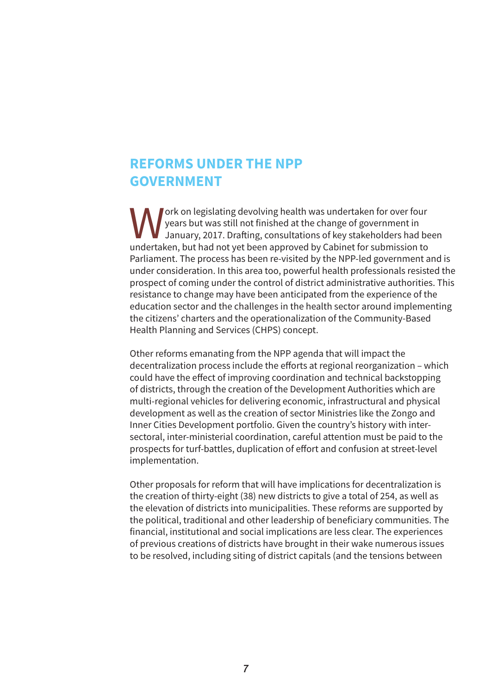#### **REFORMS UNDER THE NPP GOVERNMENT**

**W** ork on legislating devolving health was undertaken for over four<br>years but was still not finished at the change of government in<br>undertaken but had not vet been approved by Cabinet for submission to years but was still not finished at the change of government in January, 2017. Drafing, consultations of key stakeholders had been undertaken, but had not yet been approved by Cabinet for submission to Parliament. The process has been re-visited by the NPP-led government and is under consideration. In this area too, powerful health professionals resisted the prospect of coming under the control of district administrative authorities. This resistance to change may have been anticipated from the experience of the education sector and the challenges in the health sector around implementing the citizens' charters and the operationalization of the Community-Based Health Planning and Services (CHPS) concept.

Other reforms emanating from the NPP agenda that will impact the decentralization process include the efforts at regional reorganization – which could have the efect of improving coordination and technical backstopping of districts, through the creation of the Development Authorities which are multi-regional vehicles for delivering economic, infrastructural and physical development as well as the creation of sector Ministries like the Zongo and Inner Cities Development portfolio. Given the country's history with intersectoral, inter-ministerial coordination, careful attention must be paid to the prospects for turf-battles, duplication of efort and confusion at street-level implementation.

Other proposals for reform that will have implications for decentralization is the creation of thirty-eight (38) new districts to give a total of 254, as well as the elevation of districts into municipalities. These reforms are supported by the political, traditional and other leadership of beneficiary communities. The financial, institutional and social implications are less clear. The experiences of previous creations of districts have brought in their wake numerous issues to be resolved, including siting of district capitals (and the tensions between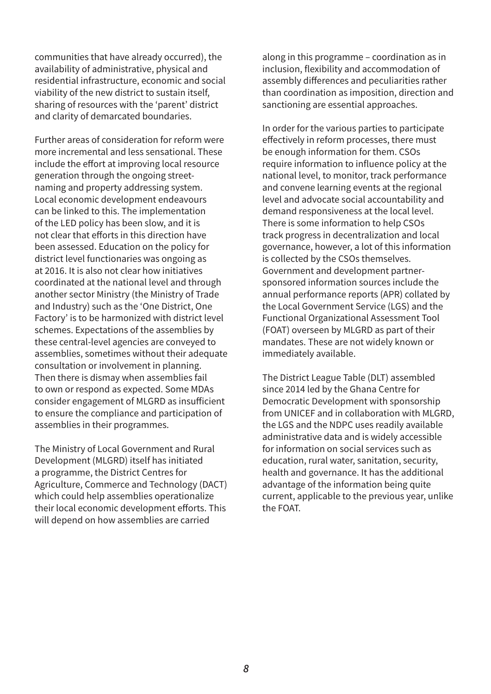communities that have already occurred), the availability of administrative, physical and residential infrastructure, economic and social viability of the new district to sustain itself, sharing of resources with the 'parent' district and clarity of demarcated boundaries.

Further areas of consideration for reform were more incremental and less sensational. These include the effort at improving local resource generation through the ongoing streetnaming and property addressing system. Local economic development endeavours can be linked to this. The implementation of the LED policy has been slow, and it is not clear that efforts in this direction have been assessed. Education on the policy for district level functionaries was ongoing as at 2016. It is also not clear how initiatives coordinated at the national level and through another sector Ministry (the Ministry of Trade and Industry) such as the 'One District, One Factory' is to be harmonized with district level schemes. Expectations of the assemblies by these central-level agencies are conveyed to assemblies, sometimes without their adequate consultation or involvement in planning. Then there is dismay when assemblies fail to own or respond as expected. Some MDAs consider engagement of MLGRD as insuficient to ensure the compliance and participation of assemblies in their programmes.

The Ministry of Local Government and Rural Development (MLGRD) itself has initiated a programme, the District Centres for Agriculture, Commerce and Technology (DACT) which could help assemblies operationalize their local economic development efforts. This will depend on how assemblies are carried

along in this programme – coordination as in inclusion, flexibility and accommodation of assembly diferences and peculiarities rather than coordination as imposition, direction and sanctioning are essential approaches.

In order for the various parties to participate efectively in reform processes, there must be enough information for them. CSOs require information to influence policy at the national level, to monitor, track performance and convene learning events at the regional level and advocate social accountability and demand responsiveness at the local level. There is some information to help CSOs track progress in decentralization and local governance, however, a lot of this information is collected by the CSOs themselves. Government and development partnersponsored information sources include the annual performance reports (APR) collated by the Local Government Service (LGS) and the Functional Organizational Assessment Tool (FOAT) overseen by MLGRD as part of their mandates. These are not widely known or immediately available.

The District League Table (DLT) assembled since 2014 led by the Ghana Centre for Democratic Development with sponsorship from UNICEF and in collaboration with MLGRD, the LGS and the NDPC uses readily available administrative data and is widely accessible for information on social services such as education, rural water, sanitation, security, health and governance. It has the additional advantage of the information being quite current, applicable to the previous year, unlike the FOAT.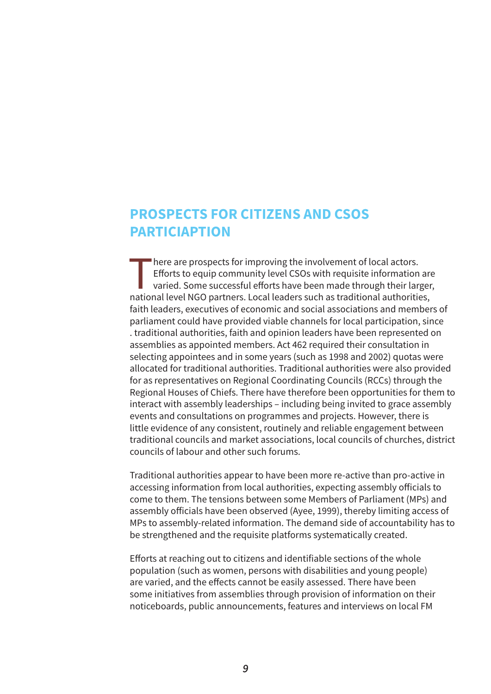# **PROSPECTS FOR CITIZENS AND CSOS PARTICIAPTION**

There are prospects for improving the involvement of local actors. Eforts to equip community level CSOs with requisite information are varied. Some successful efforts have been made through their larger, national level NGO partners. Local leaders such as traditional authorities, faith leaders, executives of economic and social associations and members of parliament could have provided viable channels for local participation, since . traditional authorities, faith and opinion leaders have been represented on assemblies as appointed members. Act 462 required their consultation in selecting appointees and in some years (such as 1998 and 2002) quotas were allocated for traditional authorities. Traditional authorities were also provided for as representatives on Regional Coordinating Councils (RCCs) through the Regional Houses of Chiefs. There have therefore been opportunities for them to interact with assembly leaderships – including being invited to grace assembly events and consultations on programmes and projects. However, there is little evidence of any consistent, routinely and reliable engagement between traditional councils and market associations, local councils of churches, district councils of labour and other such forums.

Traditional authorities appear to have been more re-active than pro-active in accessing information from local authorities, expecting assembly oficials to come to them. The tensions between some Members of Parliament (MPs) and assembly oficials have been observed (Ayee, 1999), thereby limiting access of MPs to assembly-related information. The demand side of accountability has to be strengthened and the requisite platforms systematically created.

Eforts at reaching out to citizens and identifiable sections of the whole population (such as women, persons with disabilities and young people) are varied, and the effects cannot be easily assessed. There have been some initiatives from assemblies through provision of information on their noticeboards, public announcements, features and interviews on local FM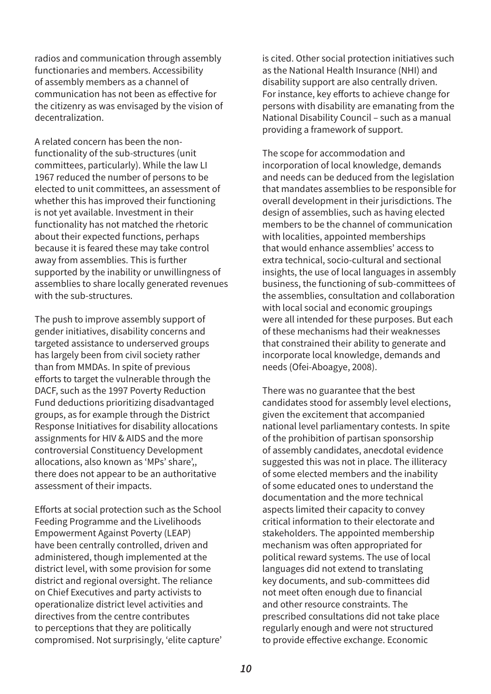radios and communication through assembly functionaries and members. Accessibility of assembly members as a channel of communication has not been as efective for the citizenry as was envisaged by the vision of decentralization.

A related concern has been the nonfunctionality of the sub-structures (unit committees, particularly). While the law LI 1967 reduced the number of persons to be elected to unit committees, an assessment of whether this has improved their functioning is not yet available. Investment in their functionality has not matched the rhetoric about their expected functions, perhaps because it is feared these may take control away from assemblies. This is further supported by the inability or unwillingness of assemblies to share locally generated revenues with the sub-structures.

The push to improve assembly support of gender initiatives, disability concerns and targeted assistance to underserved groups has largely been from civil society rather than from MMDAs. In spite of previous eforts to target the vulnerable through the DACF, such as the 1997 Poverty Reduction Fund deductions prioritizing disadvantaged groups, as for example through the District Response Initiatives for disability allocations assignments for HIV & AIDS and the more controversial Constituency Development allocations, also known as 'MPs' share',, there does not appear to be an authoritative assessment of their impacts.

Eforts at social protection such as the School Feeding Programme and the Livelihoods Empowerment Against Poverty (LEAP) have been centrally controlled, driven and administered, though implemented at the district level, with some provision for some district and regional oversight. The reliance on Chief Executives and party activists to operationalize district level activities and directives from the centre contributes to perceptions that they are politically compromised. Not surprisingly, 'elite capture' is cited. Other social protection initiatives such as the National Health Insurance (NHI) and disability support are also centrally driven. For instance, key efforts to achieve change for persons with disability are emanating from the National Disability Council – such as a manual providing a framework of support.

The scope for accommodation and incorporation of local knowledge, demands and needs can be deduced from the legislation that mandates assemblies to be responsible for overall development in their jurisdictions. The design of assemblies, such as having elected members to be the channel of communication with localities, appointed memberships that would enhance assemblies' access to extra technical, socio-cultural and sectional insights, the use of local languages in assembly business, the functioning of sub-committees of the assemblies, consultation and collaboration with local social and economic groupings were all intended for these purposes. But each of these mechanisms had their weaknesses that constrained their ability to generate and incorporate local knowledge, demands and needs (Ofei-Aboagye, 2008).

There was no guarantee that the best candidates stood for assembly level elections, given the excitement that accompanied national level parliamentary contests. In spite of the prohibition of partisan sponsorship of assembly candidates, anecdotal evidence suggested this was not in place. The illiteracy of some elected members and the inability of some educated ones to understand the documentation and the more technical aspects limited their capacity to convey critical information to their electorate and stakeholders. The appointed membership mechanism was often appropriated for political reward systems. The use of local languages did not extend to translating key documents, and sub-committees did not meet often enough due to financial and other resource constraints. The prescribed consultations did not take place regularly enough and were not structured to provide efective exchange. Economic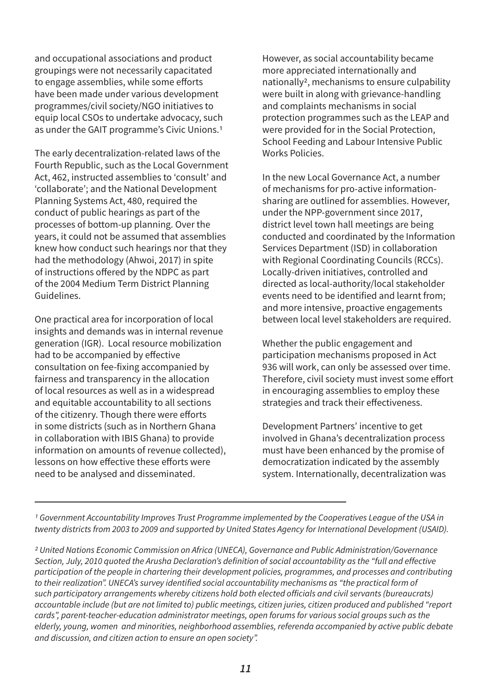and occupational associations and product groupings were not necessarily capacitated to engage assemblies, while some efforts have been made under various development programmes/civil society/NGO initiatives to equip local CSOs to undertake advocacy, such as under the GAIT programme's Civic Unions.1

The early decentralization-related laws of the Fourth Republic, such as the Local Government Act, 462, instructed assemblies to 'consult' and 'collaborate'; and the National Development Planning Systems Act, 480, required the conduct of public hearings as part of the processes of bottom-up planning. Over the years, it could not be assumed that assemblies knew how conduct such hearings nor that they had the methodology (Ahwoi, 2017) in spite of instructions ofered by the NDPC as part of the 2004 Medium Term District Planning Guidelines.

One practical area for incorporation of local insights and demands was in internal revenue generation (IGR). Local resource mobilization had to be accompanied by efective consultation on fee-fixing accompanied by fairness and transparency in the allocation of local resources as well as in a widespread and equitable accountability to all sections of the citizenry. Though there were efforts in some districts (such as in Northern Ghana in collaboration with IBIS Ghana) to provide information on amounts of revenue collected), lessons on how effective these efforts were need to be analysed and disseminated.

However, as social accountability became more appreciated internationally and nationally2, mechanisms to ensure culpability were built in along with grievance-handling and complaints mechanisms in social protection programmes such as the LEAP and were provided for in the Social Protection, School Feeding and Labour Intensive Public Works Policies.

In the new Local Governance Act, a number of mechanisms for pro-active informationsharing are outlined for assemblies. However, under the NPP-government since 2017, district level town hall meetings are being conducted and coordinated by the Information Services Department (ISD) in collaboration with Regional Coordinating Councils (RCCs). Locally-driven initiatives, controlled and directed as local-authority/local stakeholder events need to be identified and learnt from; and more intensive, proactive engagements between local level stakeholders are required.

Whether the public engagement and participation mechanisms proposed in Act 936 will work, can only be assessed over time. Therefore, civil society must invest some effort in encouraging assemblies to employ these strategies and track their efectiveness.

Development Partners' incentive to get involved in Ghana's decentralization process must have been enhanced by the promise of democratization indicated by the assembly system. Internationally, decentralization was

1 *Government Accountability Improves Trust Programme implemented by the Cooperatives League of the USA in twenty districts from 2003 to 2009 and supported by United States Agency for International Development (USAID).*

2 *United Nations Economic Commission on Africa (UNECA), Governance and Public Administration/Governance Section, July, 2010 quoted the Arusha Declaration's definition of social accountability as the "full and effective participation of the people in chartering their development policies, programmes, and processes and contributing to their realization". UNECA's survey identified social accountability mechanisms as "the practical form of such participatory arrangements whereby citizens hold both elected officials and civil servants (bureaucrats) accountable include (but are not limited to) public meetings, citizen juries, citizen produced and published "report cards", parent-teacher-education administrator meetings, open forums for various social groups such as the elderly, young, women and minorities, neighborhood assemblies, referenda accompanied by active public debate and discussion, and citizen action to ensure an open society".*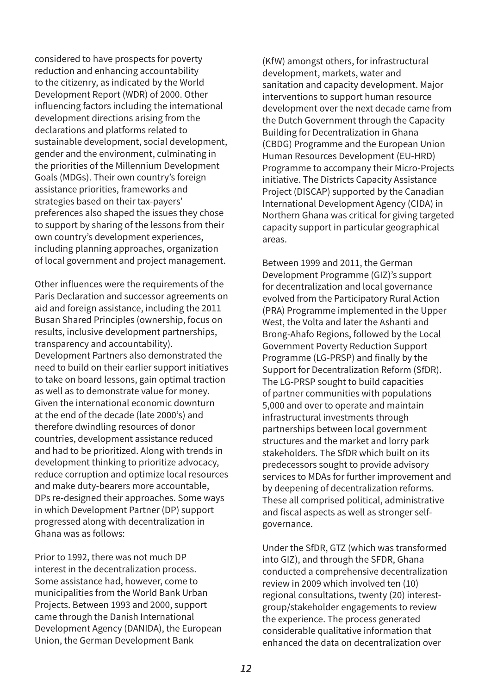considered to have prospects for poverty reduction and enhancing accountability to the citizenry, as indicated by the World Development Report (WDR) of 2000. Other influencing factors including the international development directions arising from the declarations and platforms related to sustainable development, social development, gender and the environment, culminating in the priorities of the Millennium Development Goals (MDGs). Their own country's foreign assistance priorities, frameworks and strategies based on their tax-payers' preferences also shaped the issues they chose to support by sharing of the lessons from their own country's development experiences, including planning approaches, organization of local government and project management.

Other influences were the requirements of the Paris Declaration and successor agreements on aid and foreign assistance, including the 2011 Busan Shared Principles (ownership, focus on results, inclusive development partnerships, transparency and accountability). Development Partners also demonstrated the need to build on their earlier support initiatives to take on board lessons, gain optimal traction as well as to demonstrate value for money. Given the international economic downturn at the end of the decade (late 2000's) and therefore dwindling resources of donor countries, development assistance reduced and had to be prioritized. Along with trends in development thinking to prioritize advocacy, reduce corruption and optimize local resources and make duty-bearers more accountable, DPs re-designed their approaches. Some ways in which Development Partner (DP) support progressed along with decentralization in Ghana was as follows:

Prior to 1992, there was not much DP interest in the decentralization process. Some assistance had, however, come to municipalities from the World Bank Urban Projects. Between 1993 and 2000, support came through the Danish International Development Agency (DANIDA), the European Union, the German Development Bank

(KfW) amongst others, for infrastructural development, markets, water and sanitation and capacity development. Major interventions to support human resource development over the next decade came from the Dutch Government through the Capacity Building for Decentralization in Ghana (CBDG) Programme and the European Union Human Resources Development (EU-HRD) Programme to accompany their Micro-Projects initiative. The Districts Capacity Assistance Project (DISCAP) supported by the Canadian International Development Agency (CIDA) in Northern Ghana was critical for giving targeted capacity support in particular geographical areas.

Between 1999 and 2011, the German Development Programme (GIZ)'s support for decentralization and local governance evolved from the Participatory Rural Action (PRA) Programme implemented in the Upper West, the Volta and later the Ashanti and Brong-Ahafo Regions, followed by the Local Government Poverty Reduction Support Programme (LG-PRSP) and finally by the Support for Decentralization Reform (SfDR). The LG-PRSP sought to build capacities of partner communities with populations 5,000 and over to operate and maintain infrastructural investments through partnerships between local government structures and the market and lorry park stakeholders. The SfDR which built on its predecessors sought to provide advisory services to MDAs for further improvement and by deepening of decentralization reforms. These all comprised political, administrative and fiscal aspects as well as stronger selfgovernance.

Under the SfDR, GTZ (which was transformed into GIZ), and through the SFDR, Ghana conducted a comprehensive decentralization review in 2009 which involved ten (10) regional consultations, twenty (20) interestgroup/stakeholder engagements to review the experience. The process generated considerable qualitative information that enhanced the data on decentralization over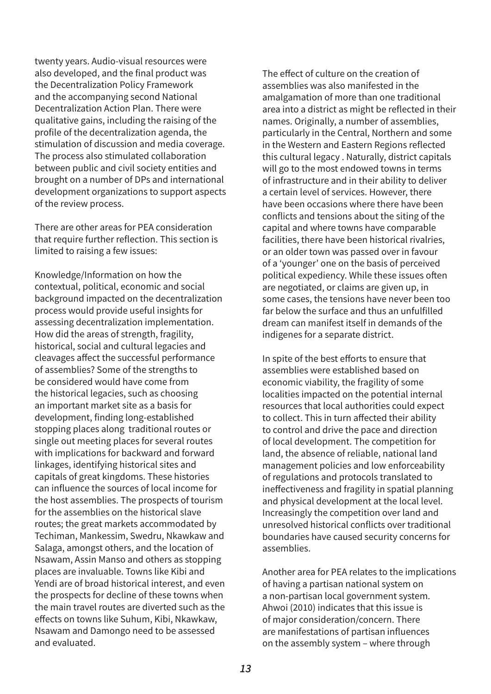twenty years. Audio-visual resources were also developed, and the final product was the Decentralization Policy Framework and the accompanying second National Decentralization Action Plan. There were qualitative gains, including the raising of the profile of the decentralization agenda, the stimulation of discussion and media coverage. The process also stimulated collaboration between public and civil society entities and brought on a number of DPs and international development organizations to support aspects of the review process.

There are other areas for PEA consideration that require further reflection. This section is limited to raising a few issues:

Knowledge/Information on how the contextual, political, economic and social background impacted on the decentralization process would provide useful insights for assessing decentralization implementation. How did the areas of strength, fragility, historical, social and cultural legacies and cleavages afect the successful performance of assemblies? Some of the strengths to be considered would have come from the historical legacies, such as choosing an important market site as a basis for development, finding long-established stopping places along traditional routes or single out meeting places for several routes with implications for backward and forward linkages, identifying historical sites and capitals of great kingdoms. These histories can influence the sources of local income for the host assemblies. The prospects of tourism for the assemblies on the historical slave routes; the great markets accommodated by Techiman, Mankessim, Swedru, Nkawkaw and Salaga, amongst others, and the location of Nsawam, Assin Manso and others as stopping places are invaluable. Towns like Kibi and Yendi are of broad historical interest, and even the prospects for decline of these towns when the main travel routes are diverted such as the efects on towns like Suhum, Kibi, Nkawkaw, Nsawam and Damongo need to be assessed and evaluated.

The effect of culture on the creation of assemblies was also manifested in the amalgamation of more than one traditional area into a district as might be reflected in their names. Originally, a number of assemblies, particularly in the Central, Northern and some in the Western and Eastern Regions reflected this cultural legacy . Naturally, district capitals will go to the most endowed towns in terms of infrastructure and in their ability to deliver a certain level of services. However, there have been occasions where there have been conflicts and tensions about the siting of the capital and where towns have comparable facilities, there have been historical rivalries, or an older town was passed over in favour of a 'younger' one on the basis of perceived political expediency. While these issues often are negotiated, or claims are given up, in some cases, the tensions have never been too far below the surface and thus an unfulfilled dream can manifest itself in demands of the indigenes for a separate district.

In spite of the best efforts to ensure that assemblies were established based on economic viability, the fragility of some localities impacted on the potential internal resources that local authorities could expect to collect. This in turn afected their ability to control and drive the pace and direction of local development. The competition for land, the absence of reliable, national land management policies and low enforceability of regulations and protocols translated to inefectiveness and fragility in spatial planning and physical development at the local level. Increasingly the competition over land and unresolved historical conflicts over traditional boundaries have caused security concerns for assemblies.

Another area for PEA relates to the implications of having a partisan national system on a non-partisan local government system. Ahwoi (2010) indicates that this issue is of major consideration/concern. There are manifestations of partisan influences on the assembly system – where through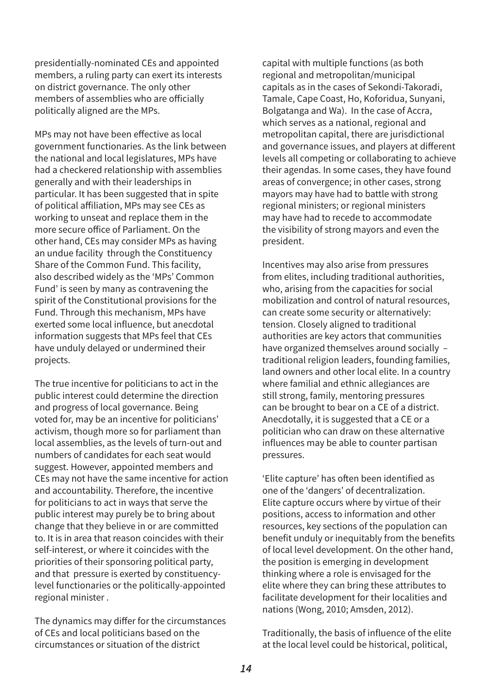presidentially-nominated CEs and appointed members, a ruling party can exert its interests on district governance. The only other members of assemblies who are oficially politically aligned are the MPs.

MPs may not have been efective as local government functionaries. As the link between the national and local legislatures, MPs have had a checkered relationship with assemblies generally and with their leaderships in particular. It has been suggested that in spite of political afiliation, MPs may see CEs as working to unseat and replace them in the more secure ofice of Parliament. On the other hand, CEs may consider MPs as having an undue facility through the Constituency Share of the Common Fund. This facility, also described widely as the 'MPs' Common Fund' is seen by many as contravening the spirit of the Constitutional provisions for the Fund. Through this mechanism, MPs have exerted some local influence, but anecdotal information suggests that MPs feel that CEs have unduly delayed or undermined their projects.

The true incentive for politicians to act in the public interest could determine the direction and progress of local governance. Being voted for, may be an incentive for politicians' activism, though more so for parliament than local assemblies, as the levels of turn-out and numbers of candidates for each seat would suggest. However, appointed members and CEs may not have the same incentive for action and accountability. Therefore, the incentive for politicians to act in ways that serve the public interest may purely be to bring about change that they believe in or are committed to. It is in area that reason coincides with their self-interest, or where it coincides with the priorities of their sponsoring political party, and that pressure is exerted by constituencylevel functionaries or the politically-appointed regional minister .

The dynamics may difer for the circumstances of CEs and local politicians based on the circumstances or situation of the district

capital with multiple functions (as both regional and metropolitan/municipal capitals as in the cases of Sekondi-Takoradi, Tamale, Cape Coast, Ho, Koforidua, Sunyani, Bolgatanga and Wa). In the case of Accra, which serves as a national, regional and metropolitan capital, there are jurisdictional and governance issues, and players at diferent levels all competing or collaborating to achieve their agendas. In some cases, they have found areas of convergence; in other cases, strong mayors may have had to battle with strong regional ministers; or regional ministers may have had to recede to accommodate the visibility of strong mayors and even the president.

Incentives may also arise from pressures from elites, including traditional authorities, who, arising from the capacities for social mobilization and control of natural resources, can create some security or alternatively: tension. Closely aligned to traditional authorities are key actors that communities have organized themselves around socially – traditional religion leaders, founding families, land owners and other local elite. In a country where familial and ethnic allegiances are still strong, family, mentoring pressures can be brought to bear on a CE of a district. Anecdotally, it is suggested that a CE or a politician who can draw on these alternative influences may be able to counter partisan pressures.

'Elite capture' has often been identified as one of the 'dangers' of decentralization. Elite capture occurs where by virtue of their positions, access to information and other resources, key sections of the population can benefit unduly or inequitably from the benefits of local level development. On the other hand, the position is emerging in development thinking where a role is envisaged for the elite where they can bring these attributes to facilitate development for their localities and nations (Wong, 2010; Amsden, 2012).

Traditionally, the basis of influence of the elite at the local level could be historical, political,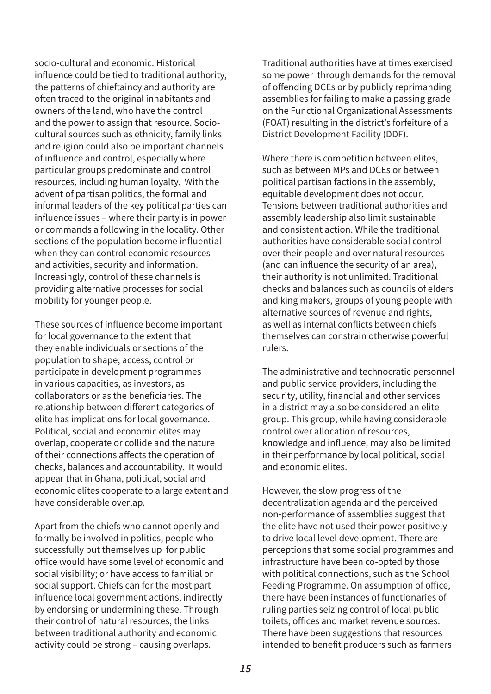socio-cultural and economic. Historical influence could be tied to traditional authority, the patterns of chieftaincy and authority are often traced to the original inhabitants and owners of the land, who have the control and the power to assign that resource. Sociocultural sources such as ethnicity, family links and religion could also be important channels of influence and control, especially where particular groups predominate and control resources, including human loyalty. With the advent of partisan politics, the formal and informal leaders of the key political parties can influence issues – where their party is in power or commands a following in the locality. Other sections of the population become influential when they can control economic resources and activities, security and information. Increasingly, control of these channels is providing alternative processes for social mobility for younger people.

These sources of influence become important for local governance to the extent that they enable individuals or sections of the population to shape, access, control or participate in development programmes in various capacities, as investors, as collaborators or as the beneficiaries. The relationship between diferent categories of elite has implications for local governance. Political, social and economic elites may overlap, cooperate or collide and the nature of their connections afects the operation of checks, balances and accountability. It would appear that in Ghana, political, social and economic elites cooperate to a large extent and have considerable overlap.

Apart from the chiefs who cannot openly and formally be involved in politics, people who successfully put themselves up for public ofice would have some level of economic and social visibility; or have access to familial or social support. Chiefs can for the most part influence local government actions, indirectly by endorsing or undermining these. Through their control of natural resources, the links between traditional authority and economic activity could be strong – causing overlaps.

Traditional authorities have at times exercised some power through demands for the removal of ofending DCEs or by publicly reprimanding assemblies for failing to make a passing grade on the Functional Organizational Assessments (FOAT) resulting in the district's forfeiture of a District Development Facility (DDF).

Where there is competition between elites, such as between MPs and DCEs or between political partisan factions in the assembly, equitable development does not occur. Tensions between traditional authorities and assembly leadership also limit sustainable and consistent action. While the traditional authorities have considerable social control over their people and over natural resources (and can influence the security of an area), their authority is not unlimited. Traditional checks and balances such as councils of elders and king makers, groups of young people with alternative sources of revenue and rights, as well as internal conflicts between chiefs themselves can constrain otherwise powerful rulers.

The administrative and technocratic personnel and public service providers, including the security, utility, financial and other services in a district may also be considered an elite group. This group, while having considerable control over allocation of resources, knowledge and influence, may also be limited in their performance by local political, social and economic elites.

However, the slow progress of the decentralization agenda and the perceived non-performance of assemblies suggest that the elite have not used their power positively to drive local level development. There are perceptions that some social programmes and infrastructure have been co-opted by those with political connections, such as the School Feeding Programme. On assumption of ofice, there have been instances of functionaries of ruling parties seizing control of local public toilets, ofices and market revenue sources. There have been suggestions that resources intended to benefit producers such as farmers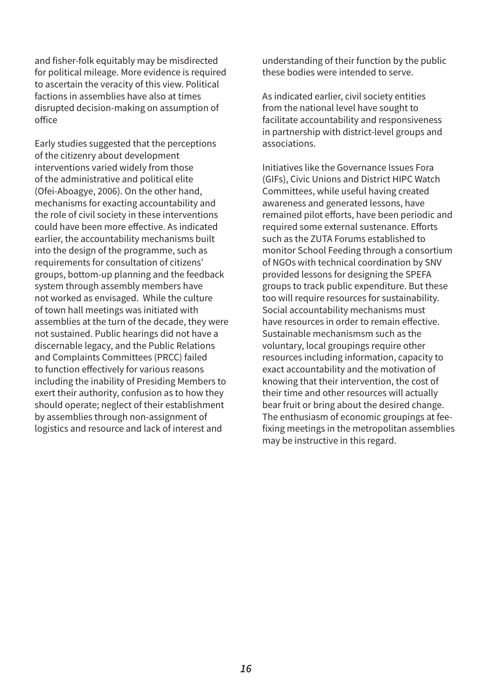and fisher-folk equitably may be misdirected for political mileage. More evidence is required to ascertain the veracity of this view. Political factions in assemblies have also at times disrupted decision-making on assumption of ofice

Early studies suggested that the perceptions of the citizenry about development interventions varied widely from those of the administrative and political elite (Ofei-Aboagye, 2006). On the other hand, mechanisms for exacting accountability and the role of civil society in these interventions could have been more efective. As indicated earlier, the accountability mechanisms built into the design of the programme, such as requirements for consultation of citizens' groups, bottom-up planning and the feedback system through assembly members have not worked as envisaged. While the culture of town hall meetings was initiated with assemblies at the turn of the decade, they were not sustained. Public hearings did not have a discernable legacy, and the Public Relations and Complaints Committees (PRCC) failed to function efectively for various reasons including the inability of Presiding Members to exert their authority, confusion as to how they should operate; neglect of their establishment by assemblies through non-assignment of logistics and resource and lack of interest and

understanding of their function by the public these bodies were intended to serve.

As indicated earlier, civil society entities from the national level have sought to facilitate accountability and responsiveness in partnership with district-level groups and associations.

Initiatives like the Governance Issues Fora (GIFs), Civic Unions and District HIPC Watch Committees, while useful having created awareness and generated lessons, have remained pilot efforts, have been periodic and required some external sustenance. Eforts such as the ZUTA Forums established to monitor School Feeding through a consortium of NGOs with technical coordination by SNV provided lessons for designing the SPEFA groups to track public expenditure. But these too will require resources for sustainability. Social accountability mechanisms must have resources in order to remain efective. Sustainable mechanismsm such as the voluntary, local groupings require other resources including information, capacity to exact accountability and the motivation of knowing that their intervention, the cost of their time and other resources will actually bear fruit or bring about the desired change. The enthusiasm of economic groupings at feefixing meetings in the metropolitan assemblies may be instructive in this regard.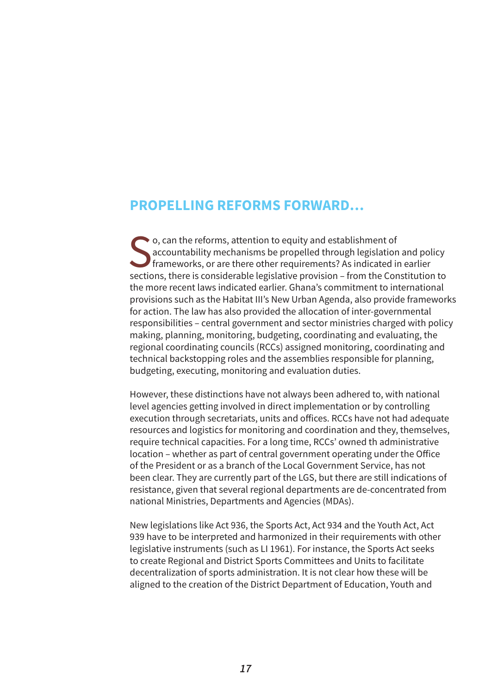#### **PROPELLING REFORMS FORWARD…**

So, can the reforms, attention to equity and establishment of<br>accountability mechanisms be propelled through legislation<br>frameworks, or are there other requirements? As indicated in<br>sections, there is considerable legislat accountability mechanisms be propelled through legislation and policy frameworks, or are there other requirements? As indicated in earlier sections, there is considerable legislative provision – from the Constitution to the more recent laws indicated earlier. Ghana's commitment to international provisions such as the Habitat III's New Urban Agenda, also provide frameworks for action. The law has also provided the allocation of inter-governmental responsibilities – central government and sector ministries charged with policy making, planning, monitoring, budgeting, coordinating and evaluating, the regional coordinating councils (RCCs) assigned monitoring, coordinating and technical backstopping roles and the assemblies responsible for planning, budgeting, executing, monitoring and evaluation duties.

However, these distinctions have not always been adhered to, with national level agencies getting involved in direct implementation or by controlling execution through secretariats, units and ofices. RCCs have not had adequate resources and logistics for monitoring and coordination and they, themselves, require technical capacities. For a long time, RCCs' owned th administrative location – whether as part of central government operating under the Ofice of the President or as a branch of the Local Government Service, has not been clear. They are currently part of the LGS, but there are still indications of resistance, given that several regional departments are de-concentrated from national Ministries, Departments and Agencies (MDAs).

New legislations like Act 936, the Sports Act, Act 934 and the Youth Act, Act 939 have to be interpreted and harmonized in their requirements with other legislative instruments (such as LI 1961). For instance, the Sports Act seeks to create Regional and District Sports Committees and Units to facilitate decentralization of sports administration. It is not clear how these will be aligned to the creation of the District Department of Education, Youth and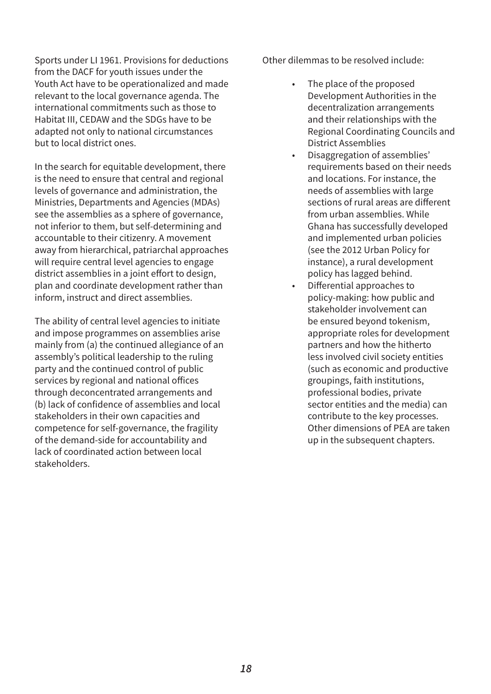Sports under LI 1961. Provisions for deductions from the DACF for youth issues under the Youth Act have to be operationalized and made relevant to the local governance agenda. The international commitments such as those to Habitat III, CEDAW and the SDGs have to be adapted not only to national circumstances but to local district ones.

In the search for equitable development, there is the need to ensure that central and regional levels of governance and administration, the Ministries, Departments and Agencies (MDAs) see the assemblies as a sphere of governance, not inferior to them, but self-determining and accountable to their citizenry. A movement away from hierarchical, patriarchal approaches will require central level agencies to engage district assemblies in a joint effort to design, plan and coordinate development rather than inform, instruct and direct assemblies.

The ability of central level agencies to initiate and impose programmes on assemblies arise mainly from (a) the continued allegiance of an assembly's political leadership to the ruling party and the continued control of public services by regional and national ofices through deconcentrated arrangements and (b) lack of confidence of assemblies and local stakeholders in their own capacities and competence for self-governance, the fragility of the demand-side for accountability and lack of coordinated action between local stakeholders.

Other dilemmas to be resolved include:

- The place of the proposed Development Authorities in the decentralization arrangements and their relationships with the Regional Coordinating Councils and District Assemblies
- Disaggregation of assemblies' requirements based on their needs and locations. For instance, the needs of assemblies with large sections of rural areas are diferent from urban assemblies. While Ghana has successfully developed and implemented urban policies (see the 2012 Urban Policy for instance), a rural development policy has lagged behind.
- Diferential approaches to policy-making: how public and stakeholder involvement can be ensured beyond tokenism, appropriate roles for development partners and how the hitherto less involved civil society entities (such as economic and productive groupings, faith institutions, professional bodies, private sector entities and the media) can contribute to the key processes. Other dimensions of PEA are taken up in the subsequent chapters.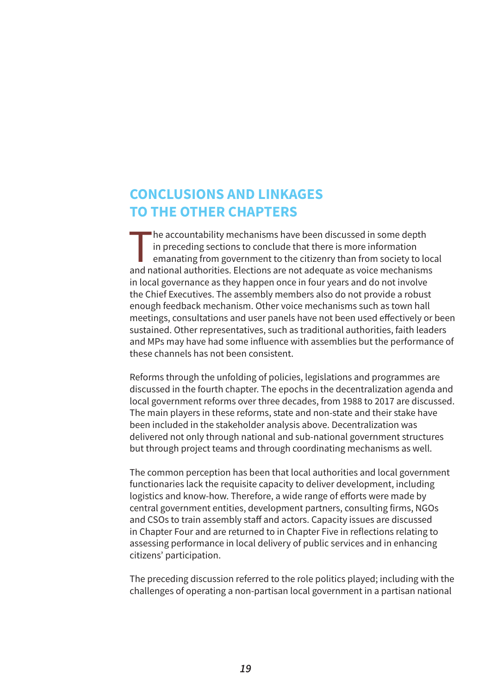## **CONCLUSIONS AND LINKAGES TO THE OTHER CHAPTERS**

The accountability mechanisms have been discussed in some depth<br>in preceding sections to conclude that there is more information<br>emanating from government to the citizenry than from society to lo<br>and national authorities. in preceding sections to conclude that there is more information emanating from government to the citizenry than from society to local and national authorities. Elections are not adequate as voice mechanisms in local governance as they happen once in four years and do not involve the Chief Executives. The assembly members also do not provide a robust enough feedback mechanism. Other voice mechanisms such as town hall meetings, consultations and user panels have not been used efectively or been sustained. Other representatives, such as traditional authorities, faith leaders and MPs may have had some influence with assemblies but the performance of these channels has not been consistent.

Reforms through the unfolding of policies, legislations and programmes are discussed in the fourth chapter. The epochs in the decentralization agenda and local government reforms over three decades, from 1988 to 2017 are discussed. The main players in these reforms, state and non-state and their stake have been included in the stakeholder analysis above. Decentralization was delivered not only through national and sub-national government structures but through project teams and through coordinating mechanisms as well.

The common perception has been that local authorities and local government functionaries lack the requisite capacity to deliver development, including logistics and know-how. Therefore, a wide range of efforts were made by central government entities, development partners, consulting firms, NGOs and CSOs to train assembly staff and actors. Capacity issues are discussed in Chapter Four and are returned to in Chapter Five in reflections relating to assessing performance in local delivery of public services and in enhancing citizens' participation.

The preceding discussion referred to the role politics played; including with the challenges of operating a non-partisan local government in a partisan national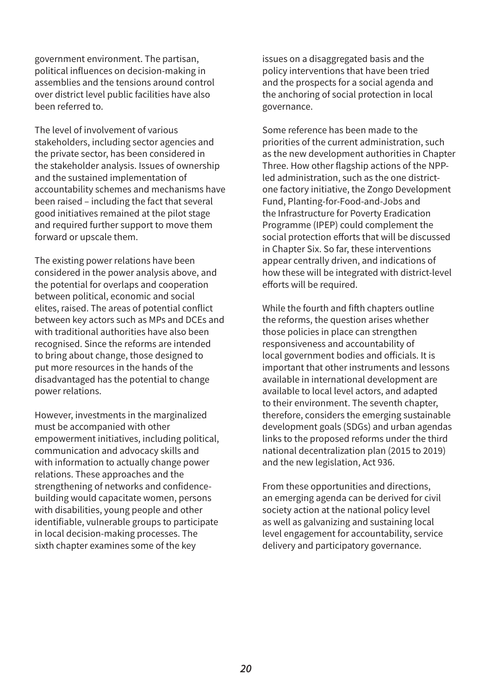government environment. The partisan, political influences on decision-making in assemblies and the tensions around control over district level public facilities have also been referred to.

The level of involvement of various stakeholders, including sector agencies and the private sector, has been considered in the stakeholder analysis. Issues of ownership and the sustained implementation of accountability schemes and mechanisms have been raised – including the fact that several good initiatives remained at the pilot stage and required further support to move them forward or upscale them.

The existing power relations have been considered in the power analysis above, and the potential for overlaps and cooperation between political, economic and social elites, raised. The areas of potential conflict between key actors such as MPs and DCEs and with traditional authorities have also been recognised. Since the reforms are intended to bring about change, those designed to put more resources in the hands of the disadvantaged has the potential to change power relations.

However, investments in the marginalized must be accompanied with other empowerment initiatives, including political, communication and advocacy skills and with information to actually change power relations. These approaches and the strengthening of networks and confidencebuilding would capacitate women, persons with disabilities, young people and other identifiable, vulnerable groups to participate in local decision-making processes. The sixth chapter examines some of the key

issues on a disaggregated basis and the policy interventions that have been tried and the prospects for a social agenda and the anchoring of social protection in local governance.

Some reference has been made to the priorities of the current administration, such as the new development authorities in Chapter Three. How other flagship actions of the NPPled administration, such as the one districtone factory initiative, the Zongo Development Fund, Planting-for-Food-and-Jobs and the Infrastructure for Poverty Eradication Programme (IPEP) could complement the social protection efforts that will be discussed in Chapter Six. So far, these interventions appear centrally driven, and indications of how these will be integrated with district-level efforts will be required.

While the fourth and fifh chapters outline the reforms, the question arises whether those policies in place can strengthen responsiveness and accountability of local government bodies and oficials. It is important that other instruments and lessons available in international development are available to local level actors, and adapted to their environment. The seventh chapter, therefore, considers the emerging sustainable development goals (SDGs) and urban agendas links to the proposed reforms under the third national decentralization plan (2015 to 2019) and the new legislation, Act 936.

From these opportunities and directions, an emerging agenda can be derived for civil society action at the national policy level as well as galvanizing and sustaining local level engagement for accountability, service delivery and participatory governance.